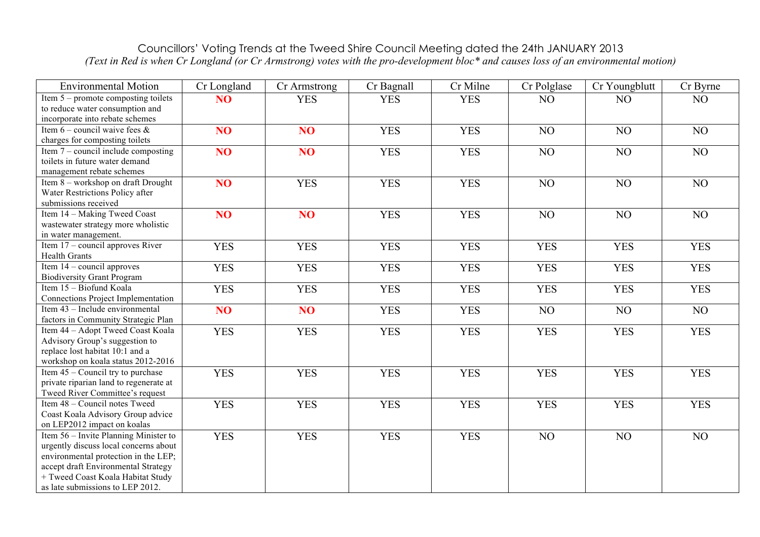## Councillors' Voting Trends at the Tweed Shire Council Meeting dated the 24th JANUARY 2013 *(Text in Red is when Cr Longland (or Cr Armstrong) votes with the pro-development bloc\* and causes loss of an environmental motion)*

| <b>Environmental Motion</b>                                                                                                                                                                                                            | Cr Longland     | Cr Armstrong    | Cr Bagnall | Cr Milne   | Cr Polglase | Cr Youngblutt  | Cr Byrne   |
|----------------------------------------------------------------------------------------------------------------------------------------------------------------------------------------------------------------------------------------|-----------------|-----------------|------------|------------|-------------|----------------|------------|
| Item $5$ – promote composting toilets<br>to reduce water consumption and<br>incorporate into rebate schemes                                                                                                                            | N <sub>O</sub>  | <b>YES</b>      | <b>YES</b> | <b>YES</b> | NO          | N <sub>O</sub> | NO         |
| Item 6 – council waive fees $\&$<br>charges for composting toilets                                                                                                                                                                     | N <sub>O</sub>  | NO <sub>1</sub> | <b>YES</b> | <b>YES</b> | NO          | NO             | NO         |
| Item $7$ – council include composting<br>toilets in future water demand<br>management rebate schemes                                                                                                                                   | N <sub>O</sub>  | NO <sub>1</sub> | <b>YES</b> | <b>YES</b> | NO          | NO             | NO         |
| Item 8 – workshop on draft Drought<br>Water Restrictions Policy after<br>submissions received                                                                                                                                          | <b>NO</b>       | <b>YES</b>      | <b>YES</b> | <b>YES</b> | NO          | NO             | NO         |
| Item 14 - Making Tweed Coast<br>wastewater strategy more wholistic<br>in water management.                                                                                                                                             | NO <sub>1</sub> | NO <sub>1</sub> | <b>YES</b> | <b>YES</b> | NO          | NO             | NO         |
| Item 17 - council approves River<br><b>Health Grants</b>                                                                                                                                                                               | <b>YES</b>      | <b>YES</b>      | <b>YES</b> | <b>YES</b> | <b>YES</b>  | <b>YES</b>     | <b>YES</b> |
| Item $14$ – council approves<br><b>Biodiversity Grant Program</b>                                                                                                                                                                      | <b>YES</b>      | <b>YES</b>      | <b>YES</b> | <b>YES</b> | <b>YES</b>  | <b>YES</b>     | <b>YES</b> |
| Item 15 - Biofund Koala<br>Connections Project Implementation                                                                                                                                                                          | <b>YES</b>      | <b>YES</b>      | <b>YES</b> | <b>YES</b> | <b>YES</b>  | <b>YES</b>     | <b>YES</b> |
| Item 43 - Include environmental<br>factors in Community Strategic Plan                                                                                                                                                                 | NO <sub>1</sub> | NO <sub>1</sub> | <b>YES</b> | <b>YES</b> | NO          | NO             | NO         |
| Item 44 - Adopt Tweed Coast Koala<br>Advisory Group's suggestion to<br>replace lost habitat 10:1 and a<br>workshop on koala status 2012-2016                                                                                           | <b>YES</b>      | <b>YES</b>      | <b>YES</b> | <b>YES</b> | <b>YES</b>  | <b>YES</b>     | <b>YES</b> |
| Item $45$ – Council try to purchase<br>private riparian land to regenerate at<br>Tweed River Committee's request                                                                                                                       | <b>YES</b>      | <b>YES</b>      | <b>YES</b> | <b>YES</b> | <b>YES</b>  | <b>YES</b>     | <b>YES</b> |
| Item 48 - Council notes Tweed<br>Coast Koala Advisory Group advice<br>on LEP2012 impact on koalas                                                                                                                                      | <b>YES</b>      | <b>YES</b>      | <b>YES</b> | <b>YES</b> | <b>YES</b>  | <b>YES</b>     | <b>YES</b> |
| Item 56 – Invite Planning Minister to<br>urgently discuss local concerns about<br>environmental protection in the LEP;<br>accept draft Environmental Strategy<br>+ Tweed Coast Koala Habitat Study<br>as late submissions to LEP 2012. | <b>YES</b>      | <b>YES</b>      | <b>YES</b> | <b>YES</b> | NO          | NO             | NO         |